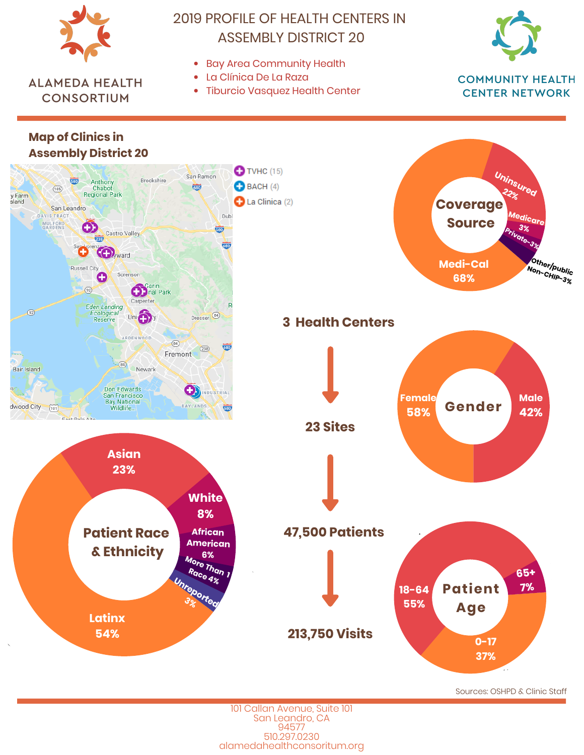

Sources: OSHPD & Clinic Staff

101 Callan Avenue, Suite 101 San Leandro, CA 94577 510.297.0230 alamedahealthconsoritum.org